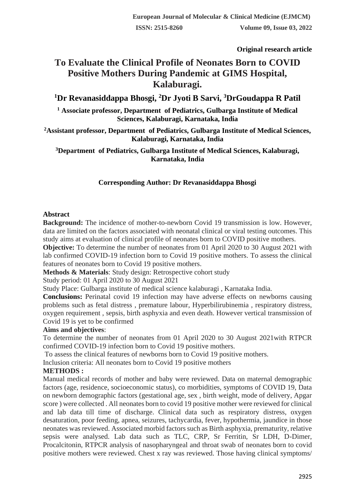**Original research article**

# **To Evaluate the Clinical Profile of Neonates Born to COVID Positive Mothers During Pandemic at GIMS Hospital, Kalaburagi.**

## **<sup>1</sup>Dr Revanasiddappa Bhosgi, <sup>2</sup>Dr Jyoti B Sarvi, <sup>3</sup>DrGoudappa R Patil**

**<sup>1</sup> Associate professor, Department of Pediatrics, Gulbarga Institute of Medical Sciences, Kalaburagi, Karnataka, India**

**<sup>2</sup>Assistant professor, Department of Pediatrics, Gulbarga Institute of Medical Sciences, Kalaburagi, Karnataka, India**

**<sup>3</sup>Department of Pediatrics, Gulbarga Institute of Medical Sciences, Kalaburagi, Karnataka, India**

## **Corresponding Author: Dr Revanasiddappa Bhosgi**

## **Abstract**

**Background:** The incidence of mother-to-newborn Covid 19 transmission is low. However, data are limited on the factors associated with neonatal clinical or viral testing outcomes. This study aims at evaluation of clinical profile of neonates born to COVID positive mothers.

**Objective:** To determine the number of neonates from 01 April 2020 to 30 August 2021 with lab confirmed COVID-19 infection born to Covid 19 positive mothers. To assess the clinical features of neonates born to Covid 19 positive mothers.

**Methods & Materials**: Study design: Retrospective cohort study

Study period: 01 April 2020 to 30 August 2021

Study Place: Gulbarga institute of medical science kalaburagi , Karnataka India.

**Conclusions:** Perinatal covid 19 infection may have adverse effects on newborns causing problems such as fetal distress , premature labour, Hyperbilirubinemia , respiratory distress, oxygen requirement , sepsis, birth asphyxia and even death. However vertical transmission of Covid 19 is yet to be confirmed

## **Aims and objectives**:

To determine the number of neonates from 01 April 2020 to 30 August 2021with RTPCR confirmed COVID-19 infection born to Covid 19 positive mothers.

To assess the clinical features of newborns born to Covid 19 positive mothers.

Inclusion criteria: All neonates born to Covid 19 positive mothers

## **METHODS :**

Manual medical records of mother and baby were reviewed. Data on maternal demographic factors (age, residence, socioeconomic status), co morbidities, symptoms of COVID 19, Data on newborn demographic factors (gestational age, sex , birth weight, mode of delivery, Apgar score ) were collected . All neonates born to covid 19 positive mother were reviewed for clinical and lab data till time of discharge. Clinical data such as respiratory distress, oxygen desaturation, poor feeding, apnea, seizures, tachycardia, fever, hypothermia, jaundice in those neonates was reviewed. Associated morbid factors such as Birth asphyxia, prematurity, relative sepsis were analysed. Lab data such as TLC, CRP, Sr Ferritin, Sr LDH, D-Dimer, Procalcitonin, RTPCR analysis of nasopharyngeal and throat swab of neonates born to covid positive mothers were reviewed. Chest x ray was reviewed. Those having clinical symptoms/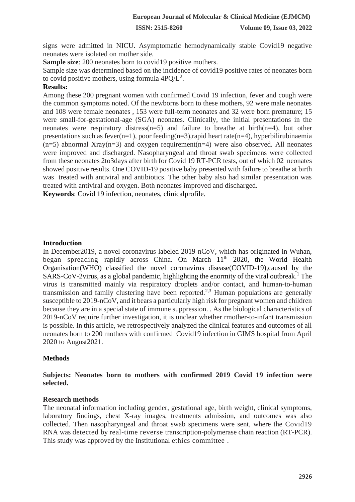**ISSN: 2515-8260 Volume 09, Issue 03, 2022**

signs were admitted in NICU. Asymptomatic hemodynamically stable Covid19 negative neonates were isolated on mother side.

**Sample size:** 200 neonates born to covid19 positive mothers.

Sample size was determined based on the incidence of covid19 positive rates of neonates born to covid positive mothers, using formula  $4PQ/L^2$ .

#### **Results:**

Among these 200 pregnant women with confirmed Covid 19 infection, fever and cough were the common symptoms noted. Of the newborns born to these mothers, 92 were male neonates and 108 were female neonates , 153 were full-term neonates and 32 were born premature; 15 were small-for-gestational-age (SGA) neonates. Clinically, the initial presentations in the neonates were respiratory distress( $n=5$ ) and failure to breathe at birth( $n=4$ ), but other presentations such as fever(n=1), poor feeding(n=3),rapid heart rate(n=4), hyperbilirubinaemia  $(n=5)$  abnormal Xray( $n=3$ ) and oxygen requirement( $n=4$ ) were also observed. All neonates were improved and discharged. Nasopharyngeal and throat swab specimens were collected from these neonates 2to3days after birth for Covid 19 RT-PCR tests, out of which 02 neonates showed positive results. One COVID-19 positive baby presented with failure to breathe at birth was treated with antiviral and antibiotics. The other baby also had similar presentation was treated with antiviral and oxygen. Both neonates improved and discharged.

**Keywords**: Covid 19 infection, neonates, clinicalprofile.

#### **Introduction**

In December2019, a novel coronavirus labeled 2019-nCoV, which has originated in Wuhan, began spreading rapidly across China. On March 11<sup>th</sup> 2020, the World Health Organisation(WHO) classified the novel coronavirus disease(COVID-19),caused by the  $SARS-CoV-2virus$ , as a global pandemic, highlighting the enormity of the viral outbreak.<sup>1</sup> The virus is transmitted mainly via respiratory droplets and/or contact, and human-to-human transmission and family clustering have been reported.<sup>2,3</sup> Human populations are generally susceptible to 2019-nCoV, and it bears a particularly high risk for pregnant women and children because they are in a special state of immune suppression. . As the biological characteristics of 2019-nCoV require further investigation, it is unclear whether rmother-to-infant transmission is possible. In this article, we retrospectively analyzed the clinical features and outcomes of all neonates born to 200 mothers with confirmed Covid19 infection in GIMS hospital from April 2020 to August2021.

## **Methods**

**Subjects: Neonates born to mothers with confirmed 2019 Covid 19 infection were selected.**

#### **Research methods**

The neonatal information including gender, gestational age, birth weight, clinical symptoms, laboratory findings, chest X-ray images, treatments admission, and outcomes was also collected. Then nasopharyngeal and throat swab specimens were sent, where the Covid19 RNA was detected by real-time reverse transcription-polymerase chain reaction (RT-PCR). This study was approved by the Institutional ethics committee .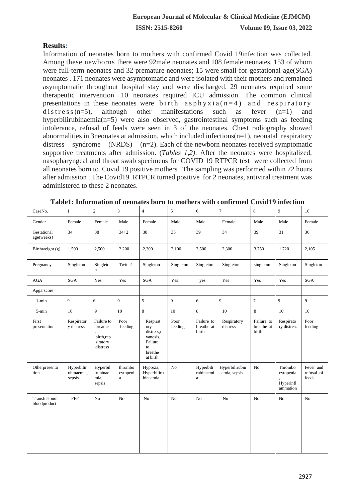## **Results:**

Information of neonates born to mothers with confirmed Covid 19infection was collected. Among these newborns there were 92male neonates and 108 female neonates, 153 of whom were full-term neonates and 32 premature neonates; 15 were small-for-gestational-age(SGA) neonates . 171 neonates were asymptomatic and were isolated with their mothers and remained asymptomatic throughout hospital stay and were discharged. 29 neonates required some therapeutic intervention .10 neonates required ICU admission. The common clinical presentations in these neonates were birth as  $phy x i a (n=4)$  and respiratory d is t r e s s (n=5), although other manifestations such as fever (n=1) and hyperbilirubinaemia(n=5) were also observed, gastrointestinal symptoms such as feeding intolerance, refusal of feeds were seen in 3 of the neonates. Chest radiography showed abnormalities in 3neonates at admission, which included infections(n=1), neonatal respiratory distress syndrome (NRDS) (n=2). Each of the newborn neonates received symptomatic supportive treatments after admission. (*Tables 1,2)*. After the neonates were hospitalized, nasopharyngeal and throat swab specimens for COVID 19 RTPCR test were collected from all neonates born to Covid 19 positive mothers . The sampling was performed within 72 hours after admission . The Covid19 RTPCR turned positive for 2 neonates, antiviral treatment was administered to these 2 neonates.

| CaseNo.                       | $\mathbf{1}$                       | $\overline{c}$                                                   | $\overline{\mathbf{3}}$             | $\overline{4}$                                                                    | 5               | 6                                  | $\overline{7}$                  | $\,8\,$                           | $\overline{9}$                                | 10                               |
|-------------------------------|------------------------------------|------------------------------------------------------------------|-------------------------------------|-----------------------------------------------------------------------------------|-----------------|------------------------------------|---------------------------------|-----------------------------------|-----------------------------------------------|----------------------------------|
| Gender                        | Female                             | Female                                                           | Male                                | Female                                                                            | Male            | Male                               | Female                          | Male                              | Male                                          | Female                           |
| Gestational<br>age(weeks)     | 34                                 | 38                                                               | $34 + 2$                            | 38                                                                                | 35              | 39                                 | 34                              | 39                                | 31                                            | 36                               |
| Birthweight (g)               | 1,500                              | 2,500                                                            | 2,200                               | 2,300                                                                             | 2,100           | 3,500                              | 2,300                           | 3,750                             | 1,720                                         | 2,105                            |
| Pregnancy                     | Singleton                          | Singleto<br>$\mathbf n$                                          | Twin 2                              | Singleton                                                                         | Singleton       | Singleton                          | Singleton                       | singleton                         | Singleton                                     | Singleton                        |
| <b>AGA</b>                    | <b>SGA</b>                         | Yes                                                              | Yes                                 | <b>SGA</b>                                                                        | Yes             | yes                                | Yes                             | Yes                               | Yes                                           | <b>SGA</b>                       |
| Apgarscore                    |                                    |                                                                  |                                     |                                                                                   |                 |                                    |                                 |                                   |                                               |                                  |
| $1 - min$                     | 9                                  | 6                                                                | 9                                   | 5                                                                                 | $\overline{9}$  | 6                                  | 9                               | $\boldsymbol{7}$                  | $\overline{9}$                                | 9                                |
| 5-min                         | 10                                 | 9                                                                | 10                                  | $\,8\,$                                                                           | 10              | 8                                  | 10                              | $\,8\,$                           | 10                                            | 10                               |
| First<br>presentation         | Respirator<br>y distress           | Failure to<br>breathe<br>at<br>birth,rep<br>siratory<br>distress | Poor<br>feeding                     | Respirat<br>ory<br>distress.c<br>yanosis,<br>Failure<br>to<br>breathe<br>at birth | Poor<br>feeding | Failure to<br>breathe at<br>birth  | Respiratory<br>distress         | Failure to<br>breathe at<br>birth | Respirato<br>ry distress                      | Poor<br>feeding                  |
| Otherpresenta<br>tion         | Hyperbilir<br>ubinaemia,<br>sepsis | Hyperbil<br>irubinae<br>mia,<br>sepsis                           | thrombo<br>cytopeni<br>$\mathbf{a}$ | Hypoxia,<br>Hyperbiliru<br>binaemia                                               | No              | Hyperbili<br>rubinaemi<br>$\rm{a}$ | Hyperbilirubin<br>aemia, sepsis | No                                | Thrombo<br>cytopenia<br>Hyperinfl<br>ammation | Fever and<br>refusal of<br>feeds |
| Transfusionof<br>bloodproduct | FFP                                | N <sub>o</sub>                                                   | No                                  | No                                                                                | N <sub>o</sub>  | No                                 | N <sub>o</sub>                  | No                                | N <sub>o</sub>                                | No                               |

**Table1: Information of neonates born to mothers with confirmed Covid19 infection**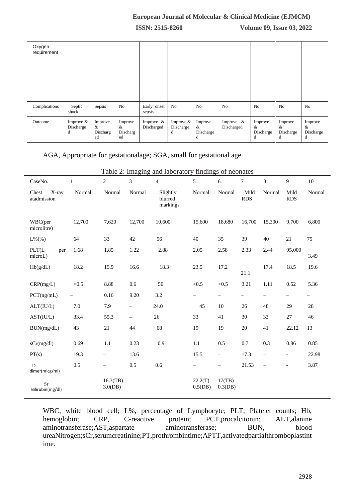#### **European Journal of Molecular & Clinical Medicine (EJMCM)**

**ISSN: 2515-8260 Volume 09, Issue 03, 2022**

| Oxygen<br>requirement |                               |                                |                                |                            |                               |                                |                            |                                |                                |                                |
|-----------------------|-------------------------------|--------------------------------|--------------------------------|----------------------------|-------------------------------|--------------------------------|----------------------------|--------------------------------|--------------------------------|--------------------------------|
| Complications         | Septic<br>shock               | Sepsis                         | No                             | Early onset<br>sepsis      | N <sub>o</sub>                | N <sub>0</sub>                 | No                         | N <sub>o</sub>                 | N <sub>o</sub>                 | No                             |
| Outcome               | Improve $&$<br>Discharge<br>d | Improve<br>&<br>Discharg<br>ed | Improve<br>&<br>Discharg<br>ed | Improve $\&$<br>Discharged | Improve $&$<br>Discharge<br>d | Improve<br>&<br>Discharge<br>d | Improve $\&$<br>Discharged | Improve<br>&<br>Discharge<br>d | Improve<br>&<br>Discharge<br>đ | Improve<br>&<br>Discharge<br>d |

## AGA, Appropriate for gestationalage; SGA, small for gestational age

 $\overline{a}$ 

| CaseNo.                       | $\mathbf{1}$ | $\mathbf{2}$           | 3                        | $\overline{4}$                  | 5                     | 6                        | $\tau$             | 8                 | 9                        | 10     |
|-------------------------------|--------------|------------------------|--------------------------|---------------------------------|-----------------------|--------------------------|--------------------|-------------------|--------------------------|--------|
| X-ray<br>Chest<br>atadmission | Normal       | Normal                 | Normal                   | Slightly<br>blurred<br>markings | Normal                | Normal                   | Mild<br><b>RDS</b> | Normal            | Mild<br><b>RDS</b>       | Normal |
| WBC(per<br>microlitre)        | 12,700       | 7,620                  | 12,700                   | 10,600                          | 15,600                | 18,680                   | 16,700             | 15,300            | 9,700                    | 6,800  |
| $L\%(\%)$                     | 64           | 33                     | 42                       | 56                              | $40\,$                | 35                       | 39                 | 40                | 21                       | 75     |
| PLT(L<br>per<br>microL)       | 1.68         | 1.85                   | 1.22                     | 2.88                            | 2.05                  | 2.58                     | 2.33               | 2.44              | 95,000                   | 3.49   |
| Hb(g/dL)                      | 18.2         | 15.9                   | 16.6                     | 18.3                            | 23.5                  | 17.2                     | 21.1               | 17.4              | 18.5                     | 19.6   |
| CRP(mg/L)                     | < 0.5        | 8.88                   | 0.6                      | 50                              | < 0.5                 | < 0.5                    | 3.21               | 1.11              | 0.52                     | 5.36   |
| PCT(ng/mL)                    | $\equiv$     | 0.16                   | 9.20                     | 3.2                             | -                     | -                        | -                  | $\qquad \qquad -$ | $\qquad \qquad -$        | -      |
| ALT(IU/L)                     | 7.0          | 7.9                    | $\overline{\phantom{0}}$ | 24.0                            | 45                    | $10\,$                   | 26                 | 48                | 29                       | 28     |
| AST(IU/L)                     | 33.4         | 55.3                   | $\qquad \qquad -$        | 26                              | 33                    | 41                       | 30                 | 33                | 27                       | 46     |
| BUN(mg/dL)                    | 43           | $21\,$                 | 44                       | 68                              | 19                    | 19                       | $20\,$             | 41                | 22.12                    | 13     |
| sCr(mg/dl)                    | 0.69         | 1.1                    | 0.23                     | 0.9                             | 1.1                   | 0.5                      | 0.7                | 0.3               | 0.86                     | 0.85   |
| PT(s)                         | 19.3         | $\equiv$               | 13.6                     |                                 | 15.5                  | $\qquad \qquad -$        | 17.3               | $\equiv$          | $\overline{\phantom{a}}$ | 22.98  |
| $D -$<br>dimer(micg/ml)       | 0.5          | $\qquad \qquad -$      | 0.5                      | 0.6                             | $\equiv$              | $\overline{\phantom{0}}$ | 21.53              | $\equiv$          | $\blacksquare$           | 3.87   |
| Sr<br>Bilirubin(mg/dl)        |              | 16.3(TB)<br>$3.0$ (DB) |                          |                                 | 22.2(T)<br>$0.5$ (DB) | 17(TB)<br>$0.3$ (DB)     |                    |                   |                          |        |

Table 2: Imaging and laboratory findings of neonates

WBC, white blood cell; L%, percentage of Lymphocyte; PLT, Platelet counts; Hb, hemoglobin; CRP, C-reactive protein; PCT,procalcitonin; ALT,alanine aminotransferase;AST,aspartate aminotransferase; BUN, blood ureaNitrogen;sCr,serumcreatinine;PT,prothrombintime;APTT,activatedpartialthromboplastint ime.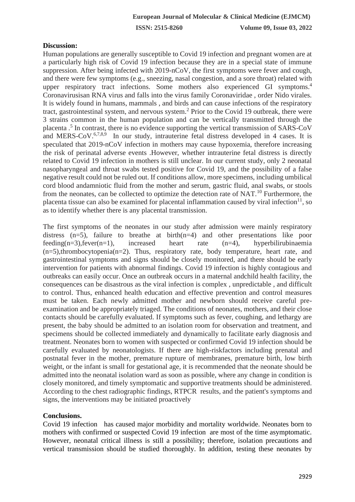### **Discussion:**

Human populations are generally susceptible to Covid 19 infection and pregnant women are at a particularly high risk of Covid 19 infection because they are in a special state of immune suppression. After being infected with 2019-nCoV, the first symptoms were fever and cough, and there were few symptoms (e.g., sneezing, nasal congestion, and a sore throat) related with upper respiratory tract infections. Some mothers also experienced GI symptoms.<sup>4</sup> Coronavirusisan RNA virus and falls into the virus family Coronaviridae , order Nido virales. It is widely found in humans, mammals , and birds and can cause infections of the respiratory tract, gastrointestinal system, and nervous system.<sup>2</sup> Prior to the Covid 19 outbreak, there were 3 strains common in the human population and can be vertically transmitted through the placenta .<sup>5</sup> In contrast, there is no evidence supporting the vertical transmission of SARS-CoV and MERS-CoV.<sup>6,7,8,9</sup> In our study, intrauterine fetal distress developed in 4 cases. It is speculated that 2019-nCoV infection in mothers may cause hypoxemia, therefore increasing the risk of perinatal adverse events .However, whether intrauterine fetal distress is directly related to Covid 19 infection in mothers is still unclear. In our current study, only 2 neonatal nasopharyngeal and throat swabs tested positive for Covid 19, and the possibility of a false negative result could not be ruled out. If conditions allow, more specimens, including umbilical cord blood andamniotic fluid from the mother and serum, gastric fluid, anal swabs, or stools from the neonates, can be collected to optimize the detection rate of NAT.<sup>10</sup> Furthermore, the placenta tissue can also be examined for placental inflammation caused by viral infection<sup>11</sup>, so as to identify whether there is any placental transmission.

The first symptoms of the neonates in our study after admission were mainly respiratory distress  $(n=5)$ , failure to breathe at birth $(n=4)$  and other presentations like poor feeding( $n=3$ ),fever( $n=1$ ), increased heart rate  $(n=4)$ , hyperbilirubinaemia (n=5),thrombocytopenia(n=2). Thus, respiratory rate, body temperature, heart rate, and gastrointestinal symptoms and signs should be closely monitored, and there should be early intervention for patients with abnormal findings. Covid 19 infection is highly contagious and outbreaks can easily occur. Once an outbreak occurs in a maternal andchild health facility, the consequences can be disastrous as the viral infection is complex , unpredictable , and difficult to control. Thus, enhanced health education and effective prevention and control measures must be taken. Each newly admitted mother and newborn should receive careful preexamination and be appropriately triaged. The conditions of neonates, mothers, and their close contacts should be carefully evaluated. If symptoms such as fever, coughing, and lethargy are present, the baby should be admitted to an isolation room for observation and treatment, and specimens should be collected immediately and dynamically to facilitate early diagnosis and treatment. Neonates born to women with suspected or confirmed Covid 19 infection should be carefully evaluated by neonatologists. If there are high-riskfactors including prenatal and postnatal fever in the mother, premature rupture of membranes, premature birth, low birth weight, or the infant is small for gestational age, it is recommended that the neonate should be admitted into the neonatal isolation ward as soon as possible, where any change in condition is closely monitored, and timely symptomatic and supportive treatments should be administered. According to the chest radiographic findings, RTPCR results, and the patient's symptoms and signs, the interventions may be initiated proactively

#### **Conclusions.**

Covid 19 infection has caused major morbidity and mortality worldwide. Neonates born to mothers with confirmed or suspected Covid 19 infection are most of the time asymptomatic. However, neonatal critical illness is still a possibility; therefore, isolation precautions and vertical transmission should be studied thoroughly. In addition, testing these neonates by